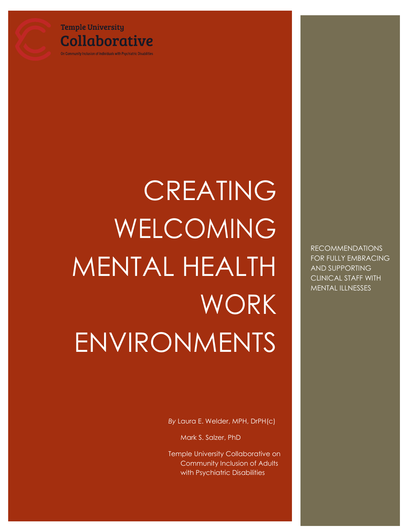### **Temple University Collaborative**

On Community Inclusion of Individuals with Psychiatric Disabilities

# CREATING WELCOMING MENTAL HEALTH WORK ENVIRONMENTS

*By* Laura E. Welder, MPH, DrPH(c)

Mark S. Salzer, PhD

Temple University Collaborative on Community Inclusion of Adults with Psychiatric Disabilities

RECOMMENDATIONS FOR FULLY EMBRACING AND SUPPORTING CLINICAL STAFF WITH MENTAL ILLNESSES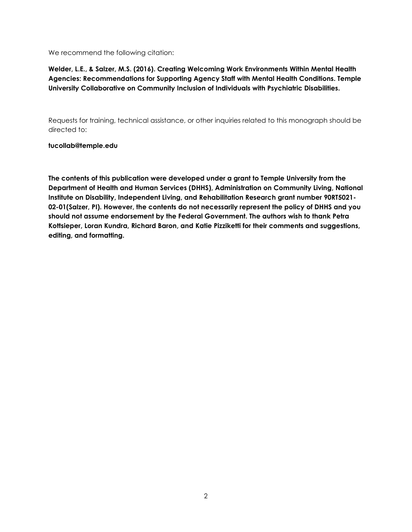We recommend the following citation:

#### **Welder, L.E., & Salzer, M.S. (2016). Creating Welcoming Work Environments Within Mental Health Agencies: Recommendations for Supporting Agency Staff with Mental Health Conditions. Temple University Collaborative on Community Inclusion of Individuals with Psychiatric Disabilities.**

Requests for training, technical assistance, or other inquiries related to this monograph should be directed to:

#### **[tucollab@temple.edu](mailto:tucollab@temple.edu)**

**The contents of this publication were developed under a grant to Temple University from the Department of Health and Human Services (DHHS), Administration on Community Living, National Institute on Disability, Independent Living, and Rehabilitation Research grant number 90RT5021- 02-01(Salzer, PI). However, the contents do not necessarily represent the policy of DHHS and you should not assume endorsement by the Federal Government. The authors wish to thank Petra Kottsieper, Loran Kundra, Richard Baron, and Katie Pizziketti for their comments and suggestions, editing, and formatting.**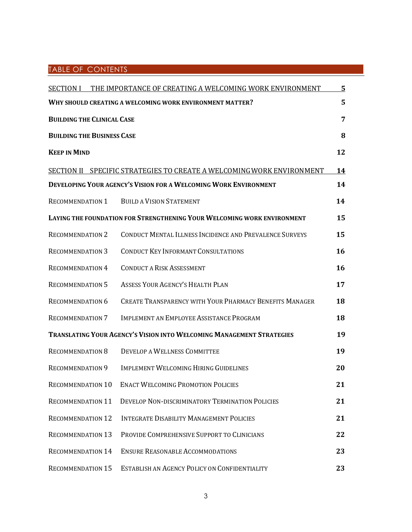#### TABLE OF CONTENTS

|                                                                         | <b>SECTION I THE IMPORTANCE OF CREATING A WELCOMING WORK ENVIRONMENT</b> | 5  |
|-------------------------------------------------------------------------|--------------------------------------------------------------------------|----|
|                                                                         | WHY SHOULD CREATING A WELCOMING WORK ENVIRONMENT MATTER?                 | 5  |
| <b>BUILDING THE CLINICAL CASE</b>                                       |                                                                          | 7  |
| <b>BUILDING THE BUSINESS CASE</b>                                       |                                                                          | 8  |
| <b>KEEP IN MIND</b>                                                     |                                                                          | 12 |
|                                                                         | SECTION II SPECIFIC STRATEGIES TO CREATE A WELCOMING WORK ENVIRONMENT    | 14 |
|                                                                         | <b>DEVELOPING YOUR AGENCY'S VISION FOR A WELCOMING WORK ENVIRONMENT</b>  | 14 |
| RECOMMENDATION 1                                                        | <b>BUILD A VISION STATEMENT</b>                                          | 14 |
| LAYING THE FOUNDATION FOR STRENGTHENING YOUR WELCOMING WORK ENVIRONMENT |                                                                          | 15 |
| <b>RECOMMENDATION 2</b>                                                 | CONDUCT MENTAL ILLNESS INCIDENCE AND PREVALENCE SURVEYS                  | 15 |
| <b>RECOMMENDATION 3</b>                                                 | <b>CONDUCT KEY INFORMANT CONSULTATIONS</b>                               | 16 |
| <b>RECOMMENDATION 4</b>                                                 | <b>CONDUCT A RISK ASSESSMENT</b>                                         | 16 |
| <b>RECOMMENDATION 5</b>                                                 | <b>ASSESS YOUR AGENCY'S HEALTH PLAN</b>                                  | 17 |
| <b>RECOMMENDATION 6</b>                                                 | <b>CREATE TRANSPARENCY WITH YOUR PHARMACY BENEFITS MANAGER</b>           | 18 |
| <b>RECOMMENDATION 7</b>                                                 | IMPLEMENT AN EMPLOYEE ASSISTANCE PROGRAM                                 | 18 |
| TRANSLATING YOUR AGENCY'S VISION INTO WELCOMING MANAGEMENT STRATEGIES   |                                                                          | 19 |
| <b>RECOMMENDATION 8</b>                                                 | <b>DEVELOP A WELLNESS COMMITTEE</b>                                      | 19 |
| <b>RECOMMENDATION 9</b>                                                 | <b>IMPLEMENT WELCOMING HIRING GUIDELINES</b>                             | 20 |
| <b>RECOMMENDATION 10</b>                                                | <b>ENACT WELCOMING PROMOTION POLICIES</b>                                | 21 |
| <b>RECOMMENDATION 11</b>                                                | DEVELOP NON-DISCRIMINATORY TERMINATION POLICIES                          | 21 |
| <b>RECOMMENDATION 12</b>                                                | <b>INTEGRATE DISABILITY MANAGEMENT POLICIES</b>                          | 21 |
| <b>RECOMMENDATION 13</b>                                                | PROVIDE COMPREHENSIVE SUPPORT TO CLINICIANS                              | 22 |
| <b>RECOMMENDATION 14</b>                                                | <b>ENSURE REASONABLE ACCOMMODATIONS</b>                                  | 23 |
| <b>RECOMMENDATION 15</b>                                                | ESTABLISH AN AGENCY POLICY ON CONFIDENTIALITY                            | 23 |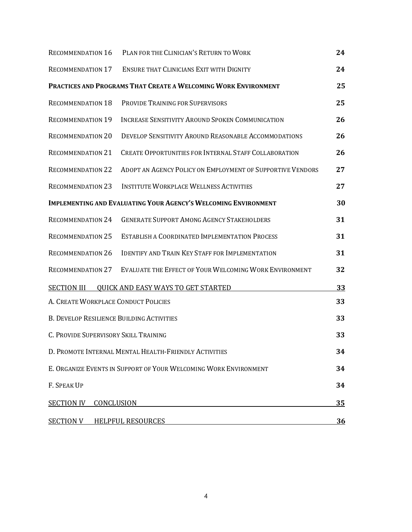| <b>RECOMMENDATION 16</b>                                               | PLAN FOR THE CLINICIAN'S RETURN TO WORK                         | 24 |
|------------------------------------------------------------------------|-----------------------------------------------------------------|----|
| RECOMMENDATION 17                                                      | <b>ENSURE THAT CLINICIANS EXIT WITH DIGNITY</b>                 | 24 |
|                                                                        | PRACTICES AND PROGRAMS THAT CREATE A WELCOMING WORK ENVIRONMENT | 25 |
| <b>RECOMMENDATION 18</b>                                               | PROVIDE TRAINING FOR SUPERVISORS                                | 25 |
| <b>RECOMMENDATION 19</b>                                               | <b>INCREASE SENSITIVITY AROUND SPOKEN COMMUNICATION</b>         | 26 |
| <b>RECOMMENDATION 20</b>                                               | DEVELOP SENSITIVITY AROUND REASONABLE ACCOMMODATIONS            | 26 |
| <b>RECOMMENDATION 21</b>                                               | <b>CREATE OPPORTUNITIES FOR INTERNAL STAFF COLLABORATION</b>    | 26 |
| <b>RECOMMENDATION 22</b>                                               | ADOPT AN AGENCY POLICY ON EMPLOYMENT OF SUPPORTIVE VENDORS      | 27 |
| <b>RECOMMENDATION 23</b>                                               | <b>INSTITUTE WORKPLACE WELLNESS ACTIVITIES</b>                  | 27 |
| <b>IMPLEMENTING AND EVALUATING YOUR AGENCY'S WELCOMING ENVIRONMENT</b> |                                                                 | 30 |
| <b>RECOMMENDATION 24</b>                                               | <b>GENERATE SUPPORT AMONG AGENCY STAKEHOLDERS</b>               | 31 |
| <b>RECOMMENDATION 25</b>                                               | <b>ESTABLISH A COORDINATED IMPLEMENTATION PROCESS</b>           | 31 |
| <b>RECOMMENDATION 26</b>                                               | <b>IDENTIFY AND TRAIN KEY STAFF FOR IMPLEMENTATION</b>          | 31 |
| <b>RECOMMENDATION 27</b>                                               | EVALUATE THE EFFECT OF YOUR WELCOMING WORK ENVIRONMENT          | 32 |
| <b>SECTION III</b>                                                     | <b>QUICK AND EASY WAYS TO GET STARTED</b>                       | 33 |
| A. CREATE WORKPLACE CONDUCT POLICIES                                   |                                                                 | 33 |
| <b>B. DEVELOP RESILIENCE BUILDING ACTIVITIES</b>                       |                                                                 | 33 |
| C. PROVIDE SUPERVISORY SKILL TRAINING                                  |                                                                 | 33 |
| D. PROMOTE INTERNAL MENTAL HEALTH-FRIENDLY ACTIVITIES                  |                                                                 | 34 |
| E. ORGANIZE EVENTS IN SUPPORT OF YOUR WELCOMING WORK ENVIRONMENT       |                                                                 | 34 |
| F. SPEAK UP                                                            |                                                                 | 34 |
| <b>SECTION IV</b><br>CONCLUSION                                        |                                                                 |    |
| <b>SECTION V HELPFUL RESOURCES</b>                                     |                                                                 | 36 |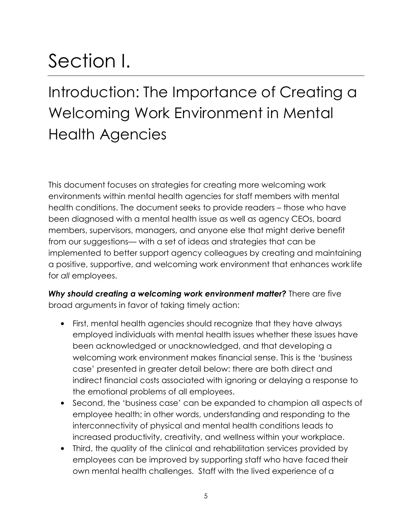# Section I.

## Introduction: The Importance of Creating a Welcoming Work Environment in Mental Health Agencies

This document focuses on strategies for creating more welcoming work environments within mental health agencies for staff members with mental health conditions. The document seeks to provide readers – those who have been diagnosed with a mental health issue as well as agency CEOs, board members, supervisors, managers, and anyone else that might derive benefit from our suggestions— with a set of ideas and strategies that can be implemented to better support agency colleagues by creating and maintaining a positive, supportive, and welcoming work environment that enhances work life for *all* employees.

Why should creating a welcoming work environment matter? There are five broad arguments in favor of taking timely action:

- First, mental health agencies should recognize that they have always employed individuals with mental health issues whether these issues have been acknowledged or unacknowledged, and that developing a welcoming work environment makes financial sense. This is the 'business case' presented in greater detail below: there are both direct and indirect financial costs associated with ignoring or delaying a response to the emotional problems of all employees.
- Second, the 'business case' can be expanded to champion all aspects of employee health; in other words, understanding and responding to the interconnectivity of physical and mental health conditions leads to increased productivity, creativity, and wellness within your workplace.
- Third, the quality of the clinical and rehabilitation services provided by employees can be improved by supporting staff who have faced their own mental health challenges. Staff with the lived experience of a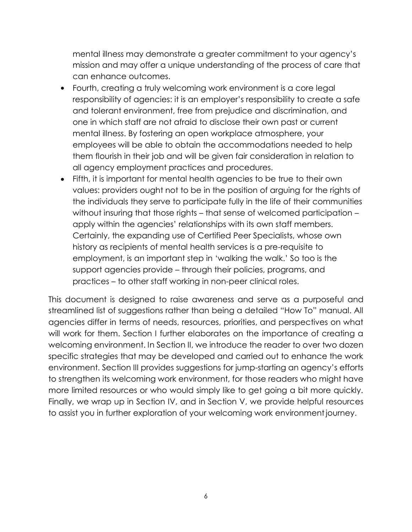mental illness may demonstrate a greater commitment to your agency's mission and may offer a unique understanding of the process of care that can enhance outcomes.

- Fourth, creating a truly welcoming work environment is a core legal responsibility of agencies: it is an employer's responsibility to create a safe and tolerant environment, free from prejudice and discrimination, and one in which staff are not afraid to disclose their own past or current mental illness. By fostering an open workplace atmosphere, your employees will be able to obtain the accommodations needed to help them flourish in their job and will be given fair consideration in relation to all agency employment practices and procedures.
- Fifth, it is important for mental health agencies to be true to their own values: providers ought not to be in the position of arguing for the rights of the individuals they serve to participate fully in the life of their communities without insuring that those rights – that sense of welcomed participation – apply within the agencies' relationships with its own staff members. Certainly, the expanding use of Certified Peer Specialists, whose own history as recipients of mental health services is a pre-requisite to employment, is an important step in 'walking the walk.' So too is the support agencies provide – through their policies, programs, and practices – to other staff working in non-peer clinical roles.

This document is designed to raise awareness and serve as a purposeful and streamlined list of suggestions rather than being a detailed "How To" manual. All agencies differ in terms of needs, resources, priorities, and perspectives on what will work for them. Section I further elaborates on the importance of creating a welcoming environment. In Section II, we introduce the reader to over two dozen specific strategies that may be developed and carried out to enhance the work environment. Section III provides suggestions for jump-starting an agency's efforts to strengthen its welcoming work environment, for those readers who might have more limited resources or who would simply like to get going a bit more quickly. Finally, we wrap up in Section IV, and in Section V, we provide helpful resources to assist you in further exploration of your welcoming work environmentjourney.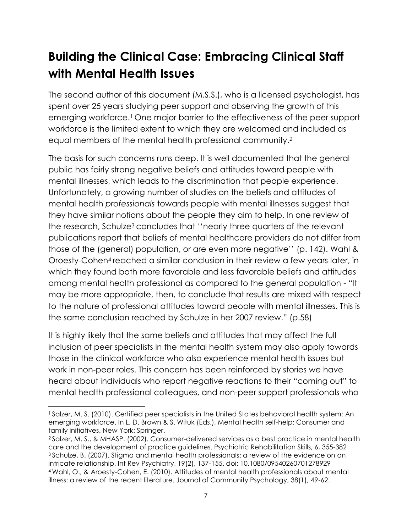## **Building the Clinical Case: Embracing Clinical Staff with Mental Health Issues**

The second author of this document (M.S.S.), who is a licensed psychologist, has spent over 25 years studying peer support and observing the growth of this emerging workforce.1 One major barrier to the effectiveness of the peer support workforce is the limited extent to which they are welcomed and included as equal members of the mental health professional community.<sup>2</sup>

The basis for such concerns runs deep. It is well documented that the general public has fairly strong negative beliefs and attitudes toward people with mental illnesses, which leads to the discrimination that people experience. Unfortunately, a growing number of studies on the beliefs and attitudes of mental health *professionals* towards people with mental illnesses suggest that they have similar notions about the people they aim to help. In one review of the research, Schulze<sup>3</sup> concludes that "nearly three quarters of the relevant publications report that beliefs of mental healthcare providers do not differ from those of the (general) population, or are even more negative'' (p. 142). Wahl & Oroesty-Cohen4 reached a similar conclusion in their review a few years later, in which they found both more favorable and less favorable beliefs and attitudes among mental health professional as compared to the general population - "It may be more appropriate, then, to conclude that results are mixed with respect to the nature of professional attitudes toward people with mental illnesses. This is the same conclusion reached by Schulze in her 2007 review." (p.58)

It is highly likely that the same beliefs and attitudes that may affect the full inclusion of peer specialists in the mental health system may also apply towards those in the clinical workforce who also experience mental health issues but work in non-peer roles. This concern has been reinforced by stories we have heard about individuals who report negative reactions to their "coming out" to mental health professional colleagues, and non-peer support professionals who

<sup>1</sup>Salzer, M. S. (2010). Certified peer specialists in the United States behavioral health system: An emerging workforce. In L. D. Brown & S. Wituk (Eds.), Mental health self-help: Consumer and family initiatives. New York: Springer.

<sup>2</sup>Salzer, M. S., & MHASP. (2002). Consumer-delivered services as a best practice in mental health care and the development of practice guidelines. Psychiatric Rehabilitation Skills, 6, 355-382 <sup>3</sup>Schulze, B. (2007). Stigma and mental health professionals: a review of the evidence on an intricate relationship. Int Rev Psychiatry, 19(2), 137-155. doi: 10.1080/09540260701278929 <sup>4</sup>Wahl, O., & Aroesty-Cohen, E. (2010). Attitudes of mental health professionals about mental illness: a review of the recent literature. Journal of Community Psychology, 38(1), 49-62.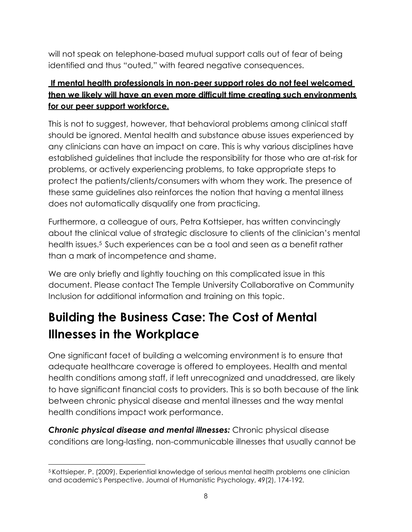will not speak on telephone-based mutual support calls out of fear of being identified and thus "outed," with feared negative consequences.

#### **If mental health professionals in non-peer support roles do not feel welcomed then we likely will have an even more difficult time creating such environments for our peer support workforce.**

This is not to suggest, however, that behavioral problems among clinical staff should be ignored. Mental health and substance abuse issues experienced by any clinicians can have an impact on care. This is why various disciplines have established guidelines that include the responsibility for those who are at-risk for problems, or actively experiencing problems, to take appropriate steps to protect the patients/clients/consumers with whom they work. The presence of these same guidelines also reinforces the notion that having a mental illness does not automatically disqualify one from practicing.

Furthermore, a colleague of ours, Petra Kottsieper, has written convincingly about the clinical value of strategic disclosure to clients of the clinician's mental health issues.5 Such experiences can be a tool and seen as a benefit rather than a mark of incompetence and shame.

We are only briefly and lightly touching on this complicated issue in this document. Please contact The Temple University Collaborative on Community Inclusion for additional information and training on this topic.

## **Building the Business Case: The Cost of Mental Illnesses in the Workplace**

One significant facet of building a welcoming environment is to ensure that adequate healthcare coverage is offered to employees. Health and mental health conditions among staff, if left unrecognized and unaddressed, are likely to have significant financial costs to providers. This is so both because of the link between chronic physical disease and mental illnesses and the way mental health conditions impact work performance.

*Chronic physical disease and mental illnesses:* Chronic physical disease conditions are long-lasting, non-communicable illnesses that usually cannot be

<sup>5</sup>Kottsieper, P. (2009). Experiential knowledge of serious mental health problems one clinician and academic's Perspective. Journal of Humanistic Psychology, 49(2), 174-192.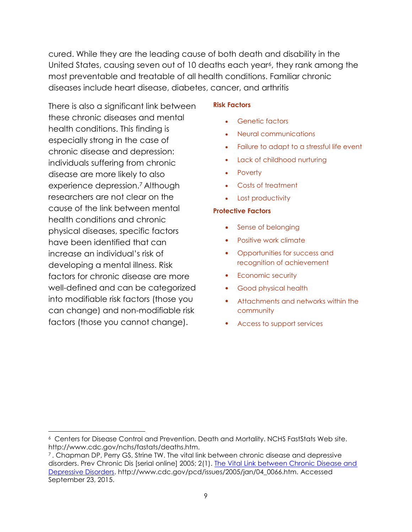cured. While they are the leading cause of both death and disability in the United States, causing seven out of 10 deaths each year6, they rank among the most preventable and treatable of all health conditions. Familiar chronic diseases include heart disease, diabetes, cancer, and arthritis

There is also a significant link between these chronic diseases and mental health conditions. This finding is especially strong in the case of chronic disease and depression: individuals suffering from chronic disease are more likely to also experience depression.7 Although researchers are not clear on the cause of the link between mental health conditions and chronic physical diseases, specific factors have been identified that can increase an individual's risk of developing a mental illness. Risk factors for chronic disease are more well-defined and can be categorized into modifiable risk factors (those you can change) and non-modifiable risk factors (those you cannot change).

#### **Risk Factors**

- Genetic factors  $\bullet$
- Neural communications
- Failure to adapt to a stressful life event
- Lack of childhood nurturing
- Poverty
- Costs of treatment
- Lost productivity

#### **Protective Factors**

- Sense of belonging
- Positive work climate
- Opportunities for success and recognition of achievement
- Economic security
- Good physical health
- Attachments and networks within the community
- Access to support services

Centers for Disease Control and Prevention. Death and Mortality. NCHS FastStats Web site. <sup>6</sup> [http://www.cdc.gov/nchs/fastats/deaths.htm.](http://www.cdc.gov/nchs/fastats/deaths.htm)

<sup>7</sup>. Chapman DP, Perry GS, Strine TW. The vital link between chronic disease and depressive disorders. Prev Chronic Dis [serial online] 2005; 2(1). [The Vital Link between Chronic Disease and](http://www.cdc.gov/pcd/issues/2005/jan/04_0066.htm) [Depressive Disorders.](http://www.cdc.gov/pcd/issues/2005/jan/04_0066.htm) [http://www.cdc.gov/pcd/issues/2005/jan/04\\_0066.htm.](http://www.cdc.gov/pcd/issues/2005/jan/04_0066.htm) Accessed September 23, 2015.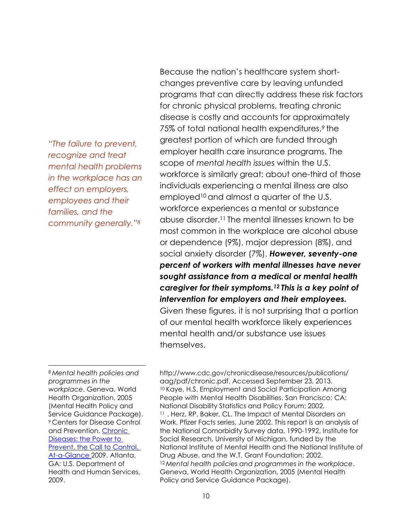*"The failure to prevent, recognize and treat mental health problems in the workplace has an effect on employers, employees and their families, and the community generally."<sup>8</sup>*

Because the nation's healthcare system shortchanges preventive care by leaving unfunded programs that can directly address these risk factors for chronic physical problems, treating chronic disease is costly and accounts for approximately 75% of total national health expenditures,<sup>9</sup> the greatest portion of which are funded through employer health care insurance programs. The scope of *mental health issues* within the U.S. workforce is similarly great: about one-third of those individuals experiencing a mental illness are also employed10 and almost a quarter of the U.S. workforce experiences a mental or substance abuse disorder.11 The mental illnesses known to be most common in the workplace are alcohol abuse or dependence (9%), major depression (8%), and social anxiety disorder (7%). *However, seventy-one percent of workers with mental illnesses have never sought assistance from a medical or mental health caregiver for their symptoms.12 This is a key point of intervention for employers and their employees.* Given these figures, it is not surprising that a portion of our mental health workforce likely experiences mental health and/or substance use issues themselves.

<sup>8</sup>*Mental health policies and programmes in the workplace*. Geneva, World Health Organization, 2005 (Mental Health Policy and Service Guidance Package). <sup>9</sup>Centers for Disease Control and Prevention. [Chronic](http://www.cdc.gov/chronicdisease/resources/publications/aag/pdf/chronic.pdf) [Diseases: the Power to](http://www.cdc.gov/chronicdisease/resources/publications/aag/pdf/chronic.pdf) [Prevent, the Call to Control,](http://www.cdc.gov/chronicdisease/resources/publications/aag/pdf/chronic.pdf) [At-a-Glance](http://www.cdc.gov/chronicdisease/resources/publications/aag/pdf/chronic.pdf) 2009. Atlanta, GA: U.S. Department of Health and Human Services, 2009.

<http://www.cdc.gov/chronicdisease/resources/publications/> aag/pdf/chronic.pdf. Accessed September 23, 2013. <sup>10</sup> Kaye, H.S. Employment and Social Participation Among People with Mental Health Disabilities. San Francisco: CA: National Disability Statistics and Policy Forum; 2002. <sup>11</sup>. Herz, RP, Baker, CL. The Impact of Mental Disorders on Work, Pfizer Facts series, June 2002. This report is an analysis of the National Comorbidity Survey data, 1990-1992, Institute for Social Research, University of Michigan, funded by the National Institute of Mental Health and the National Institute of Drug Abuse, and the W.T. Grant Foundation; 2002. <sup>12</sup>*Mental health policies and programmes in the workplace*. Geneva, World Health Organization, 2005 (Mental Health Policy and Service Guidance Package).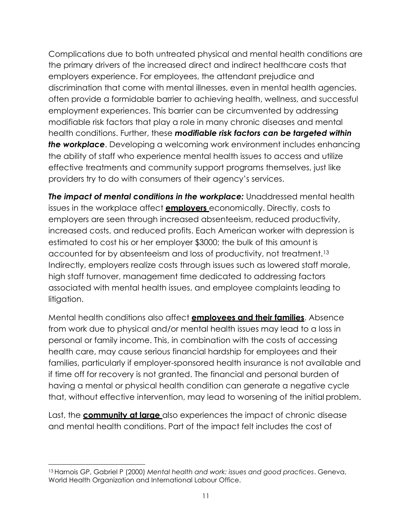Complications due to both untreated physical and mental health conditions are the primary drivers of the increased direct and indirect healthcare costs that employers experience. For employees, the attendant prejudice and discrimination that come with mental illnesses, even in mental health agencies, often provide a formidable barrier to achieving health, wellness, and successful employment experiences. This barrier can be circumvented by addressing modifiable risk factors that play a role in many chronic diseases and mental health conditions. Further, these *modifiable risk factors can be targeted within the workplace*. Developing a welcoming work environment includes enhancing the ability of staff who experience mental health issues to access and utilize effective treatments and community support programs themselves, just like providers try to do with consumers of their agency's services.

*The impact of mental conditions in the workplace:* Unaddressed mental health issues in the workplace affect **employers** economically. Directly, costs to employers are seen through increased absenteeism, reduced productivity, increased costs, and reduced profits. Each American worker with depression is estimated to cost his or her employer \$3000; the bulk of this amount is accounted for by absenteeism and loss of productivity, not treatment.<sup>13</sup> Indirectly, employers realize costs through issues such as lowered staff morale, high staff turnover, management time dedicated to addressing factors associated with mental health issues, and employee complaints leading to litigation.

Mental health conditions also affect **employees and their families**. Absence from work due to physical and/or mental health issues may lead to a loss in personal or family income. This, in combination with the costs of accessing health care, may cause serious financial hardship for employees and their families, particularly if employer-sponsored health insurance is not available and if time off for recovery is not granted. The financial and personal burden of having a mental or physical health condition can generate a negative cycle that, without effective intervention, may lead to worsening of the initial problem.

Last, the **community at large** also experiences the impact of chronic disease and mental health conditions. Part of the impact felt includes the cost of

<sup>13</sup>Harnois GP, Gabriel P (2000) *Mental health and work: issues and good practices*. Geneva, World Health Organization and International Labour Office.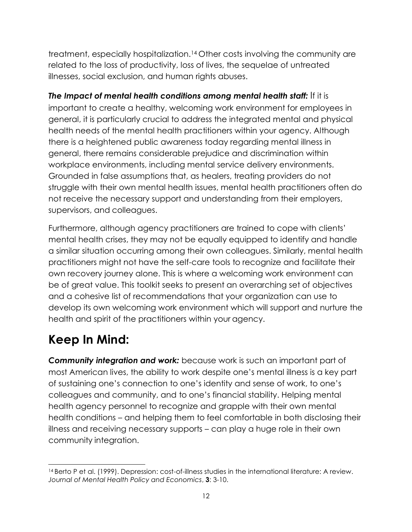treatment, especially hospitalization.14 Other costs involving the community are related to the loss of productivity, loss of lives, the sequelae of untreated illnesses, social exclusion, and human rights abuses.

*The Impact of mental health conditions among mental health staff:* If it is important to create a healthy, welcoming work environment for employees in general, it is particularly crucial to address the integrated mental and physical health needs of the mental health practitioners within your agency. Although there is a heightened public awareness today regarding mental illness in general, there remains considerable prejudice and discrimination within workplace environments, including mental service delivery environments. Grounded in false assumptions that, as healers, treating providers do not struggle with their own mental health issues, mental health practitioners often do not receive the necessary support and understanding from their employers, supervisors, and colleagues.

Furthermore, although agency practitioners are trained to cope with clients' mental health crises, they may not be equally equipped to identify and handle a similar situation occurring among their own colleagues. Similarly, mental health practitioners might not have the self-care tools to recognize and facilitate their own recovery journey alone. This is where a welcoming work environment can be of great value. This toolkit seeks to present an overarching set of objectives and a cohesive list of recommendations that your organization can use to develop its own welcoming work environment which will support and nurture the health and spirit of the practitioners within your agency.

## **Keep In Mind:**

*Community integration and work:* because work is such an important part of most American lives, the ability to work despite one's mental illness is a key part of sustaining one's connection to one's identity and sense of work, to one's colleagues and community, and to one's financial stability. Helping mental health agency personnel to recognize and grapple with their own mental health conditions – and helping them to feel comfortable in both disclosing their illness and receiving necessary supports – can play a huge role in their own community integration.

<sup>14</sup> Berto P et al. (1999). Depression: cost-of-illness studies in the international literature: A review. *Journal of Mental Health Policy and Economics*, **3**: 3-10.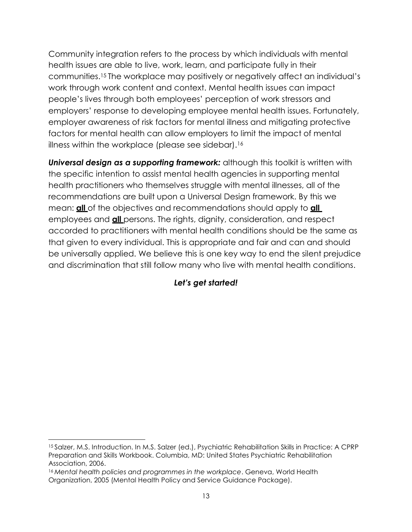Community integration refers to the process by which individuals with mental health issues are able to live, work, learn, and participate fully in their communities.15 The workplace may positively or negatively affect an individual's work through work content and context. Mental health issues can impact people's lives through both employees' perception of work stressors and employers' response to developing employee mental health issues. Fortunately, employer awareness of risk factors for mental illness and mitigating protective factors for mental health can allow employers to limit the impact of mental illness within the workplace (please see sidebar).<sup>16</sup>

**Universal design as a supporting framework:** although this toolkit is written with the specific intention to assist mental health agencies in supporting mental health practitioners who themselves struggle with mental illnesses, all of the recommendations are built upon a Universal Design framework. By this we mean: **all** of the objectives and recommendations should apply to **all**  employees and **all** persons. The rights, dignity, consideration, and respect accorded to practitioners with mental health conditions should be the same as that given to every individual. This is appropriate and fair and can and should be universally applied. We believe this is one key way to end the silent prejudice and discrimination that still follow many who live with mental health conditions.

#### *Let's get started!*

<sup>15</sup>Salzer, M.S. Introduction. In M.S. Salzer (ed.), Psychiatric Rehabilitation Skills in Practice: A CPRP Preparation and Skills Workbook. Columbia, MD: United States Psychiatric Rehabilitation Association, 2006.

<sup>16</sup>*Mental health policies and programmes in the workplace*. Geneva, World Health Organization, 2005 (Mental Health Policy and Service Guidance Package).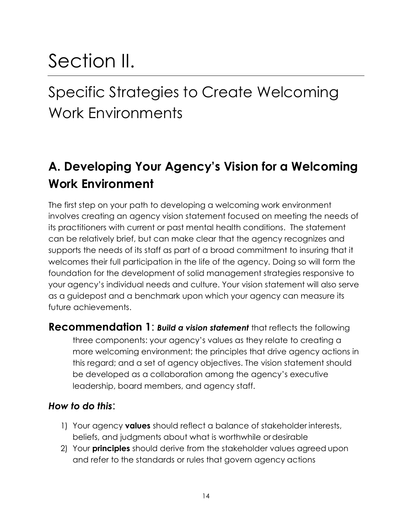## Section II.

## Specific Strategies to Create Welcoming Work Environments

## **A. Developing Your Agency's Vision for a Welcoming Work Environment**

The first step on your path to developing a welcoming work environment involves creating an agency vision statement focused on meeting the needs of its practitioners with current or past mental health conditions. The statement can be relatively brief, but can make clear that the agency recognizes and supports the needs of its staff as part of a broad commitment to insuring that it welcomes their full participation in the life of the agency. Doing so will form the foundation for the development of solid management strategies responsive to your agency's individual needs and culture. Your vision statement will also serve as a guidepost and a benchmark upon which your agency can measure its future achievements.

**Recommendation 1**: *Build a vision statement* that reflects the following three components: your agency's values as they relate to creating a more welcoming environment; the principles that drive agency actions in this regard; and a set of agency objectives. The vision statement should be developed as a collaboration among the agency's executive leadership, board members, and agency staff.

#### *How to do this*:

- 1) Your agency **values** should reflect a balance of stakeholder interests, beliefs, and judgments about what is worthwhile ordesirable
- 2) Your **principles** should derive from the stakeholder values agreed upon and refer to the standards or rules that govern agency actions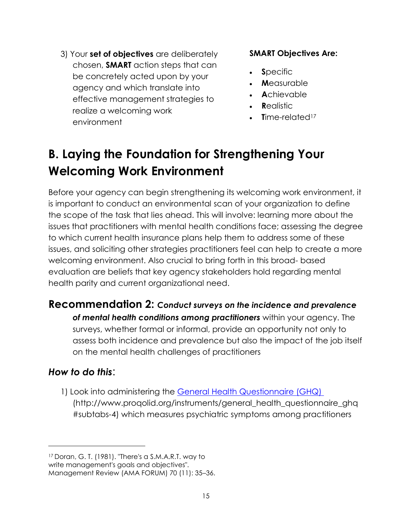3) Your **set of objectives** are deliberately chosen, **SMART** action steps that can be concretely acted upon by your agency and which translate into effective management strategies to realize a welcoming work environment

#### **SMART Objectives Are:**

- **S**pecific  $\bullet$
- **M**easurable  $\blacksquare$
- **A**chievable
- **R**ealistic  $\bullet$
- **Time-related<sup>17</sup>**  $\bullet$

## **B. Laying the Foundation for Strengthening Your Welcoming Work Environment**

Before your agency can begin strengthening its welcoming work environment, it is important to conduct an environmental scan of your organization to define the scope of the task that lies ahead. This will involve: learning more about the issues that practitioners with mental health conditions face; assessing the degree to which current health insurance plans help them to address some of these issues, and soliciting other strategies practitioners feel can help to create a more welcoming environment. Also crucial to bring forth in this broad- based evaluation are beliefs that key agency stakeholders hold regarding mental health parity and current organizational need.

#### **Recommendation 2:** *Conduct surveys on the incidence and prevalence*

*of mental health conditions among practitioners* within your agency. The surveys, whether formal or informal, provide an opportunity not only to assess both incidence and prevalence but also the impact of the job itself on the mental health challenges of practitioners

#### *How to do this*:

1) Look into administering the [General Health Questionnaire \(GHQ\)](http://www.proqolid.org/instruments/general_health_questionnaire_ghq#subtabs-4)  [\(http://www.proqolid.org/instruments/general\\_health\\_questionnaire\\_ghq](http://www.proqolid.org/instruments/general_health_questionnaire_ghq) #subtabs-4) which measures psychiatric symptoms among practitioners

<sup>17</sup>Doran, G. T. (1981). "There's a S.M.A.R.T. way to write management's goals and objectives".

Management Review (AMA FORUM) 70 (11): 35–36.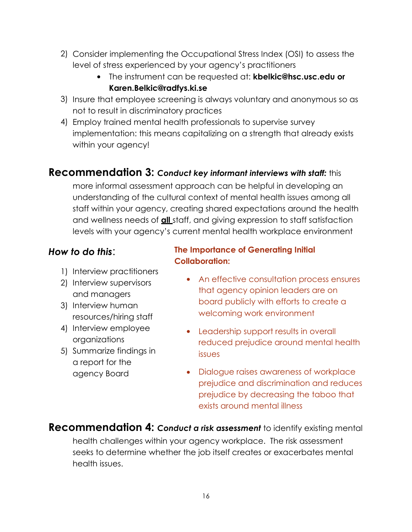- 2) Consider implementing the Occupational Stress Index (OSI) to assess the level of stress experienced by your agency's practitioners
	- The instrument can be requested at: **[kbelkic@hsc.usc.edu](mailto:kbelkic@hsc.usc.edu) or [Karen.Belkic@radfys.ki.se](mailto:Karen.Belkic@radfys.ki.se)**
- 3) Insure that employee screening is always voluntary and anonymous so as not to result in discriminatory practices
- Employ trained mental health professionals to supervise survey 4) implementation: this means capitalizing on a strength that already exists within your agency!

#### **Recommendation 3:** *Conduct key informant interviews with staff:* this

more informal assessment approach can be helpful in developing an understanding of the cultural context of mental health issues among all staff within your agency, creating shared expectations around the health and wellness needs of **all** staff, and giving expression to staff satisfaction levels with your agency's current mental health workplace environment

#### *How to do this*:

- 1) Interview practitioners
- 2) Interview supervisors and managers
- 3) Interview human resources/hiring staff
- 4) Interview employee **4** organizations
- 5) Summarize findings in a report for the agency Board

#### **The Importance of Generating Initial Collaboration:**

- An effective consultation process ensures that agency opinion leaders are on board publicly with efforts to create a welcoming work environment
- Leadership support results in overall reduced prejudice around mental health issues
- Dialogue raises awareness of workplace prejudice and discrimination and reduces prejudice by decreasing the taboo that exists around mental illness

**Recommendation 4:** *Conduct a risk assessment* to identify existing mental health challenges within your agency workplace. The risk assessment seeks to determine whether the job itself creates or exacerbates mental health issues.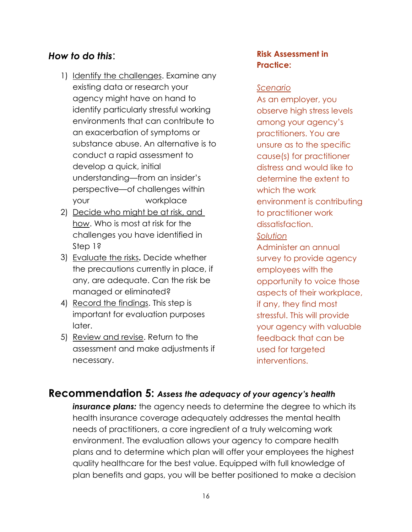#### *How to do this*:

- 1) Identify the challenges. Examine any existing data or research your agency might have on hand to identify particularly stressful working environments that can contribute to an exacerbation of symptoms or substance abuse. An alternative is to conduct a rapid assessment to develop a quick, initial understanding—from an insider's perspective—of challenges within your workplace
- 2) Decide who might be at risk, and how. Who is most at risk for the challenges you have identified in Step 1?
- Evaluate the risks**.** Decide whether 3) the precautions currently in place, if any, are adequate. Can the risk be managed or eliminated?
- 4) Record the findings. This step is important for evaluation purposes later.
- 5) Review and revise. Return to the assessment and make adjustments if necessary.

#### **Risk Assessment in Practice:**

#### *Scenario*

As an employer, you observe high stress levels among your agency's practitioners. You are unsure as to the specific cause(s) for practitioner distress and would like to determine the extent to which the work environment is contributing to practitioner work dissatisfaction. *Solution*

Administer an annual survey to provide agency employees with the opportunity to voice those aspects of their workplace, if any, they find most stressful. This will provide your agency with valuable feedback that can be used for targeted interventions.

#### **Recommendation 5:** *Assess the adequacy of your agency's health*

**insurance plans:** the agency needs to determine the degree to which its health insurance coverage adequately addresses the mental health needs of practitioners, a core ingredient of a truly welcoming work environment. The evaluation allows your agency to compare health plans and to determine which plan will offer your employees the highest quality healthcare for the best value. Equipped with full knowledge of plan benefits and gaps, you will be better positioned to make a decision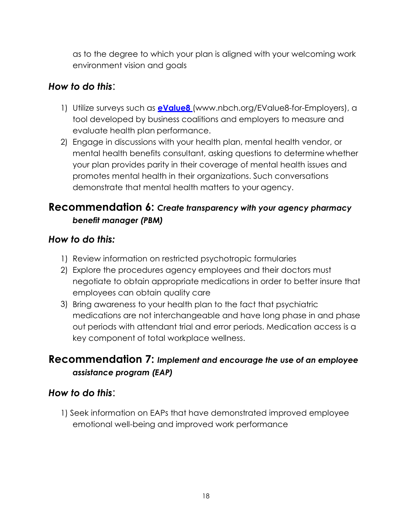as to the degree to which your plan is aligned with your welcoming work environment vision and goals

#### *How to do this*:

- 1) Utilize surveys such as **[eValue8](http://www.nbch.org/EValue8-for-Employers)** [\(www.nbch.org/EValue8-for-Employers\),](http://www.nbch.org/EValue8-for-Employers)) a tool developed by business coalitions and employers to measure and evaluate health plan performance.
- 2) Engage in discussions with your health plan, mental health vendor, or mental health benefits consultant, asking questions to determine whether your plan provides parity in their coverage of mental health issues and promotes mental health in their organizations. Such conversations demonstrate that mental health matters to your agency.

#### **Recommendation 6:** *Create transparency with your agency pharmacy benefit manager (PBM)*

#### *How to do this:*

- 1) Review information on restricted psychotropic formularies
- 2) Explore the procedures agency employees and their doctors must negotiate to obtain appropriate medications in order to better insure that employees can obtain quality care
- Bring awareness to your health plan to the fact that psychiatric 3) medications are not interchangeable and have long phase in and phase out periods with attendant trial and error periods. Medication access is a key component of total workplace wellness.

#### **Recommendation 7:** *Implement and encourage the use of an employee assistance program (EAP)*

#### *How to do this*:

1) Seek information on EAPs that have demonstrated improved employee emotional well-being and improved work performance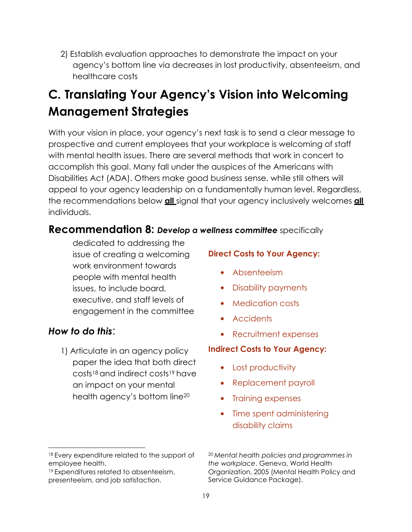2) Establish evaluation approaches to demonstrate the impact on your agency's bottom line via decreases in lost productivity, absenteeism, and healthcare costs

## **C. Translating Your Agency's Vision into Welcoming Management Strategies**

With your vision in place, your agency's next task is to send a clear message to prospective and current employees that your workplace is welcoming of staff with mental health issues. There are several methods that work in concert to accomplish this goal. Many fall under the auspices of the Americans with Disabilities Act (ADA). Others make good business sense, while still others will appeal to your agency leadership on a fundamentally human level. Regardless, the recommendations below **all** signal that your agency inclusively welcomes **all**  individuals.

#### **Recommendation 8:** *Develop a wellness committee* specifically

dedicated to addressing the issue of creating a welcoming work environment towards people with mental health issues, to include board, executive, and staff levels of engagement in the committee

#### *How to do this*:

1) Articulate in an agency policy paper the idea that both direct costs18 and indirect costs19 have an impact on your mental health agency's bottom line<sup>20</sup>

#### **Direct Costs to Your Agency:**

- Absenteeism
- Disability payments
- **•** Medication costs
- Accidents
- Recruitment expenses

#### **Indirect Costs to Your Agency:**

- Lost productivity
- Replacement payroll
- Training expenses
- Time spent administering disability claims

<sup>19</sup>Expenditures related to absenteeism, presenteeism, and job satisfaction.

<sup>18</sup> Every expenditure related to the support of employee health.

<sup>20</sup>*Mental health policies and programmes in the workplace*. Geneva, World Health Organization, 2005 (Mental Health Policy and Service Guidance Package).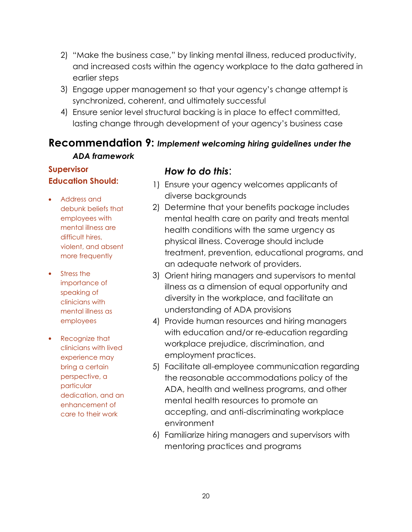- 2) "Make the business case," by linking mental illness, reduced productivity, and increased costs within the agency workplace to the data gathered in earlier steps
- Engage upper management so that your agency's change attempt is 3) synchronized, coherent, and ultimately successful
- Ensure senior level structural backing is in place to effect committed, 4) lasting change through development of your agency's business case

#### **Recommendation 9:** *Implement welcoming hiring guidelines under the ADA framework*

#### **Supervisor Education Should:**

- Address and debunk beliefs that employees with mental illness are difficult hires, violent, and absent more frequently
- Stress the importance of speaking of clinicians with mental illness as employees
- Recognize that clinicians with lived experience may bring a certain perspective, a particular dedication, and an enhancement of care to their work

#### *How to do this*:

- Ensure your agency welcomes applicants of 1) diverse backgrounds
- 2) Determine that your benefits package includes mental health care on parity and treats mental health conditions with the same urgency as physical illness. Coverage should include treatment, prevention, educational programs, and an adequate network of providers.
- Orient hiring managers and supervisors to mental 3) illness as a dimension of equal opportunity and diversity in the workplace, and facilitate an understanding of ADA provisions
- 4) Provide human resources and hiring managers with education and/or re-education regarding workplace prejudice, discrimination, and employment practices.
- 5) Facilitate all-employee communication regarding the reasonable accommodations policy of the ADA, health and wellness programs, and other mental health resources to promote an accepting, and anti-discriminating workplace environment
- Familiarize hiring managers and supervisors with 6) mentoring practices and programs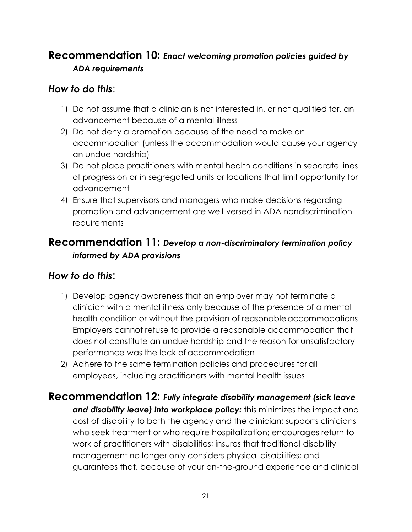### **Recommendation 10:** *Enact welcoming promotion policies guided by ADA requirements*

#### *How to do this*:

- 1) Do not assume that a clinician is not interested in, or not qualified for, an advancement because of a mental illness
- 2) Do not deny a promotion because of the need to make an accommodation (unless the accommodation would cause your agency an undue hardship)
- Do not place practitioners with mental health conditions in separate lines 3) of progression or in segregated units or locations that limit opportunity for advancement
- Ensure that supervisors and managers who make decisions regarding 4) promotion and advancement are well-versed in ADA nondiscrimination requirements

#### **Recommendation 11:** *Develop a non-discriminatory termination policy informed by ADA provisions*

#### *How to do this*:

- 1) Develop agency awareness that an employer may not terminate a clinician with a mental illness only because of the presence of a mental health condition or without the provision of reasonable accommodations. Employers cannot refuse to provide a reasonable accommodation that does not constitute an undue hardship and the reason for unsatisfactory performance was the lack of accommodation
- 2) Adhere to the same termination policies and procedures for all employees, including practitioners with mental health issues

#### **Recommendation 12:** *Fully integrate disability management (sick leave*

*and disability leave) into workplace policy:* this minimizes the impact and cost of disability to both the agency and the clinician; supports clinicians who seek treatment or who require hospitalization; encourages return to work of practitioners with disabilities; insures that traditional disability management no longer only considers physical disabilities; and guarantees that, because of your on-the-ground experience and clinical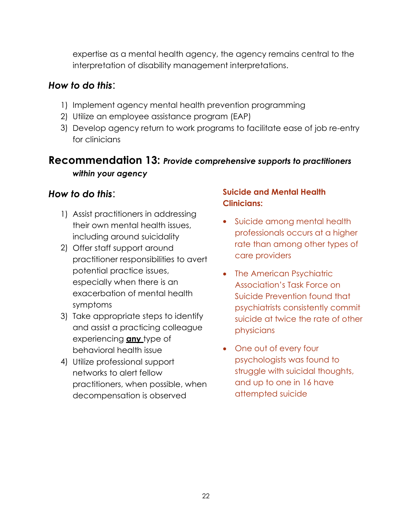expertise as a mental health agency, the agency remains central to the interpretation of disability management interpretations.

#### *How to do this*:

- 1) Implement agency mental health prevention programming
- 2) Utilize an employee assistance program (EAP)
- 3) Develop agency return to work programs to facilitate ease of job re-entry for clinicians

#### **Recommendation 13:** *Provide comprehensive supports to practitioners within your agency*

#### *How to do this*:

- 1) Assist practitioners in addressing their own mental health issues, including around suicidality
- Offer staff support around 2) practitioner responsibilities to avert potential practice issues, especially when there is an exacerbation of mental health symptoms
- 3) Take appropriate steps to identify and assist a practicing colleague experiencing **any** type of behavioral health issue
- Utilize professional support 4) networks to alert fellow practitioners, when possible, when decompensation is observed

#### **Suicide and Mental Health Clinicians:**

- Suicide among mental health professionals occurs at a higher rate than among other types of care providers
- The American Psychiatric Association's Task Force on Suicide Prevention found that psychiatrists consistently commit suicide at twice the rate of other physicians
- One out of every four psychologists was found to struggle with suicidal thoughts, and up to one in 16 have attempted suicide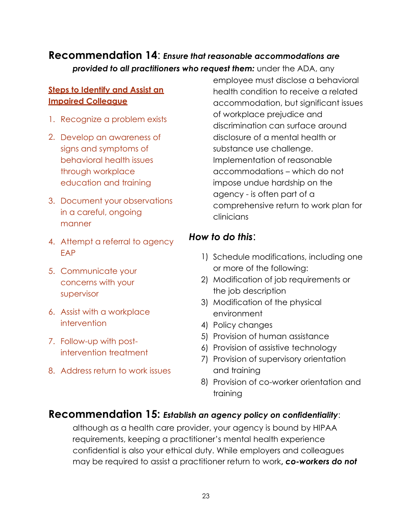#### **Recommendation 14**: *Ensure that reasonable accommodations are*  **provided to all practitioners who request them:** under the ADA, any

#### **Steps to Identify and Assist an Impaired Colleague**

- 1. Recognize a problem exists
- 2. Develop an awareness of sians and symptoms of behavioral health issues through workplace education and training
- 3. Document your observations in a careful, ongoing manner
- 4. Attempt a referral to agency EAP
- 5. Communicate your concerns with your supervisor
- Assist with a workplace 6. intervention
- 7. Follow-up with postintervention treatment
- Address return to work issues 8.

employee must disclose a behavioral health condition to receive a related accommodation, but significant issues of workplace prejudice and discrimination can surface around disclosure of a mental health or substance use challenge. Implementation of reasonable accommodations – which do not impose undue hardship on the agency - is often part of a comprehensive return to work plan for clinicians

#### *How to do this*:

- 1) Schedule modifications, including one or more of the following:
- Modification of job requirements or 2) the job description
- 3) Modification of the physical environment
- 4) Policy changes
- 5) Provision of human assistance
- Provision of assistive technology 6)
- 7) Provision of supervisory orientation and training
- 8) Provision of co-worker orientation and training

#### **Recommendation 15:** *Establish an agency policy on confidentiality*:

although as a health care provider, your agency is bound by HIPAA requirements, keeping a practitioner's mental health experience confidential is also your ethical duty. While employers and colleagues may be required to assist a practitioner return to work**,** *co-workers do not*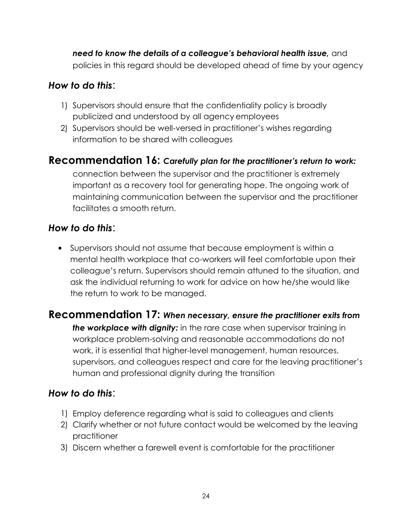*need to know the details of a colleague's behavioral health issue,* and policies in this regard should be developed ahead of time by your agency

#### *How to do this*:

- 1) Supervisors should ensure that the confidentiality policy is broadly publicized and understood by all agency employees
- 2) Supervisors should be well-versed in practitioner's wishes regarding information to be shared with colleagues

#### **Recommendation 16:** *Carefully plan for the practitioner's return to work:*

connection between the supervisor and the practitioner is extremely important as a recovery tool for generating hope. The ongoing work of maintaining communication between the supervisor and the practitioner facilitates a smooth return.

#### *How to do this*:

 Supervisors should not assume that because employment is within a mental health workplace that co-workers will feel comfortable upon their colleague's return. Supervisors should remain attuned to the situation, and ask the individual returning to work for advice on how he/she would like the return to work to be managed.

#### **Recommendation 17:** *When necessary, ensure the practitioner exits from*

*the workplace with dignity:* in the rare case when supervisor training in workplace problem-solving and reasonable accommodations do not work, it is essential that higher-level management, human resources, supervisors, and colleagues respect and care for the leaving practitioner's human and professional dignity during the transition

#### *How to do this*:

- 1) Employ deference regarding what is said to colleagues and clients
- 2) Clarify whether or not future contact would be welcomed by the leaving practitioner
- 3) Discern whether a farewell event is comfortable for the practitioner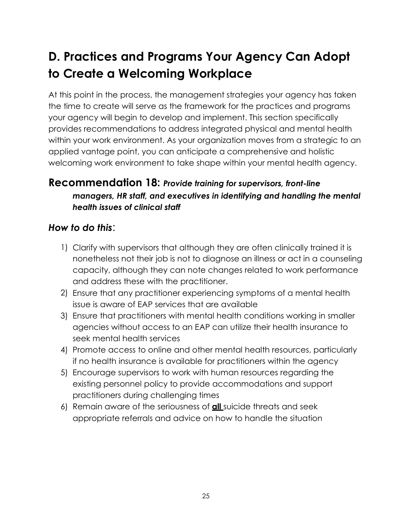## **D. Practices and Programs Your Agency Can Adopt to Create a Welcoming Workplace**

At this point in the process, the management strategies your agency has taken the time to create will serve as the framework for the practices and programs your agency will begin to develop and implement. This section specifically provides recommendations to address integrated physical and mental health within your work environment. As your organization moves from a strategic to an applied vantage point, you can anticipate a comprehensive and holistic welcoming work environment to take shape within your mental health agency.

#### **Recommendation 18:** *Provide training for supervisors, front-line managers, HR staff, and executives in identifying and handling the mental health issues of clinical staff*

#### *How to do this*:

- 1) Clarify with supervisors that although they are often clinically trained it is nonetheless not their job is not to diagnose an illness or act in a counseling capacity, although they can note changes related to work performance and address these with the practitioner.
- Ensure that any practitioner experiencing symptoms of a mental health 2) issue is aware of EAP services that are available
- Ensure that practitioners with mental health conditions working in smaller 3) agencies without access to an EAP can utilize their health insurance to seek mental health services
- Promote access to online and other mental health resources, particularly 4) if no health insurance is available for practitioners within the agency
- Encourage supervisors to work with human resources regarding the 5) existing personnel policy to provide accommodations and support practitioners during challenging times
- Remain aware of the seriousness of **all** suicide threats and seek 6) appropriate referrals and advice on how to handle the situation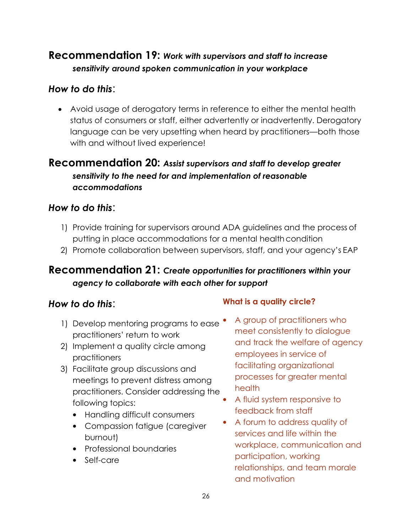### **Recommendation 19:** *Work with supervisors and staff to increase sensitivity around spoken communication in your workplace*

#### *How to do this*:

 Avoid usage of derogatory terms in reference to either the mental health status of consumers or staff, either advertently or inadvertently. Derogatory language can be very upsetting when heard by practitioners—both those with and without lived experience!

#### **Recommendation 20:** *Assist supervisors and staff to develop greater sensitivity to the need for and implementation of reasonable accommodations*

#### *How to do this*:

- 1) Provide training for supervisors around ADA guidelines and the process of putting in place accommodations for a mental health condition
- 2) Promote collaboration between supervisors, staff, and your agency's EAP

#### **Recommendation 21:** *Create opportunities for practitioners within your agency to collaborate with each other for support*

- 1) Develop mentoring programs to ease practitioners' return to work
- 2) Implement a quality circle among practitioners
- Facilitate group discussions and 3) meetings to prevent distress among practitioners. Consider addressing the following topics:
	- Handling difficult consumers
	- Compassion fatigue (caregiver burnout)
	- Professional boundaries
	- Self-care

#### *How to do this*: **What is a quality circle?**

- A group of practitioners who meet consistently to dialogue and track the welfare of agency employees in service of facilitating organizational processes for greater mental health
- A fluid system responsive to feedback from staff
- A forum to address quality of services and life within the workplace, communication and participation, working relationships, and team morale and motivation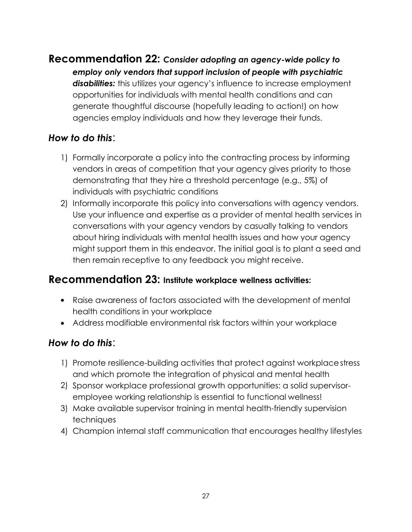### **Recommendation 22:** *Consider adopting an agency-wide policy to*

*employ only vendors that support inclusion of people with psychiatric*  disabilities: this utilizes your agency's influence to increase employment opportunities for individuals with mental health conditions and can generate thoughtful discourse (hopefully leading to action!) on how agencies employ individuals and how they leverage their funds.

#### *How to do this*:

- 1) Formally incorporate a policy into the contracting process by informing vendors in areas of competition that your agency gives priority to those demonstrating that they hire a threshold percentage (e.g., 5%) of individuals with psychiatric conditions
- 2) Informally incorporate this policy into conversations with agency vendors. Use your influence and expertise as a provider of mental health services in conversations with your agency vendors by casually talking to vendors about hiring individuals with mental health issues and how your agency might support them in this endeavor. The initial goal is to plant a seed and then remain receptive to any feedback you might receive.

#### **Recommendation 23: Institute workplace wellness activities:**

- Raise awareness of factors associated with the development of mental health conditions in your workplace
- Address modifiable environmental risk factors within your workplace

#### *How to do this*:

- 1) Promote resilience-building activities that protect against workplacestress and which promote the integration of physical and mental health
- 2) Sponsor workplace professional growth opportunities: a solid supervisoremployee working relationship is essential to functional wellness!
- Make available supervisor training in mental health-friendly supervision 3) techniques
- Champion internal staff communication that encourages healthy lifestyles 4)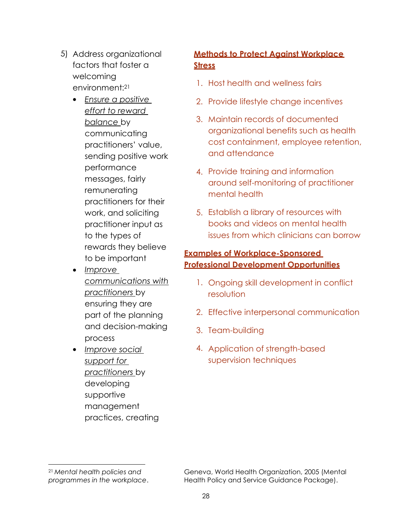- 5) Address organizational factors that foster a welcoming environment:<sup>21</sup>
	- *Ensure a positive effort to reward balance* by communicating practitioners' value, sending positive work performance messages, fairly remunerating practitioners for their work, and soliciting practitioner input as to the types of rewards they believe to be important
	- *Improve communications with practitioners* by ensuring they are part of the planning and decision-making process
	- *Improve social* 4. *support for practitioners* by developing supportive management practices, creating

#### **Methods to Protect Against Workplace Stress**

- 1. Host health and wellness fairs
- 2. Provide lifestyle change incentives
- 3. Maintain records of documented organizational benefits such as health cost containment, employee retention, and attendance
- 4. Provide training and information around self-monitoring of practitioner mental health
- 5. Establish a library of resources with books and videos on mental health issues from which clinicians can borrow

#### **Examples of Workplace-Sponsored Professional Development Opportunities**

- 1. Ongoing skill development in conflict resolution
- 2. Effective interpersonal communication
- 3. Team-building
- 4. Application of strength-based supervision techniques

<sup>21</sup>*Mental health policies and programmes in the workplace*.

Geneva, World Health Organization, 2005 (Mental Health Policy and Service Guidance Package).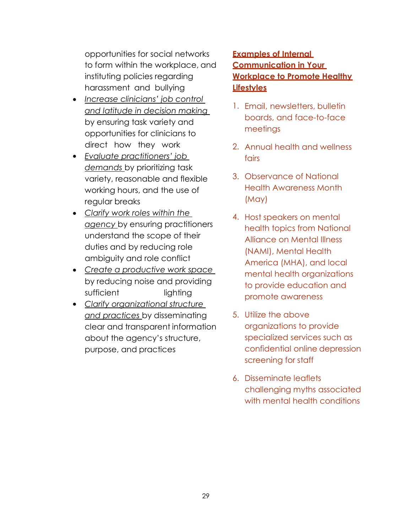opportunities for social networks to form within the workplace, and instituting policies regarding harassment and bullying

- *Increase clinicians' job control and latitude in decision making*  by ensuring task variety and opportunities for clinicians to direct how they work
- *Evaluate practitioners' job demands* by prioritizing task variety, reasonable and flexible working hours, and the use of regular breaks
- *Clarify work roles within the agency* by ensuring practitioners understand the scope of their duties and by reducing role ambiguity and role conflict
- *Create a productive work space*  by reducing noise and providing sufficient lighting
- *Clarify organizational structure and practices* by disseminating clear and transparent information about the agency's structure, purpose, and practices

#### **Examples of Internal Communication in Your Workplace to Promote Healthy Lifestyles**

- 1. Email, newsletters, bulletin boards, and face-to-face meetings
- 2. Annual health and wellness fairs
- 3. Observance of National Health Awareness Month (May)
- 4. Host speakers on mental health topics from National Alliance on Mental Illness (NAMI), Mental Health America (MHA), and local mental health organizations to provide education and promote awareness
- Utilize the above 5. organizations to provide specialized services such as confidential online depression screening for staff
- 6. Disseminate leaflets challenging myths associated with mental health conditions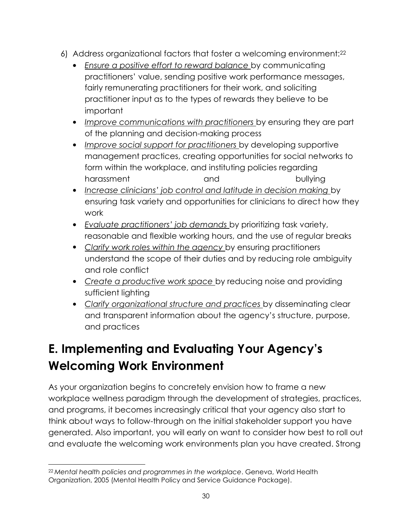- 6) Address organizational factors that foster a welcoming environment:<sup>22</sup>
	- *Ensure a positive effort to reward balance* by communicating practitioners' value, sending positive work performance messages, fairly remunerating practitioners for their work, and soliciting practitioner input as to the types of rewards they believe to be important
	- *Improve communications with practitioners* by ensuring they are part of the planning and decision-making process
	- *Improve social support for practitioners* by developing supportive management practices, creating opportunities for social networks to form within the workplace, and instituting policies regarding harassment and and bullying
	- *Increase clinicians' job control and latitude in decision making* by ensuring task variety and opportunities for clinicians to direct how they work
	- *Evaluate practitioners' job demands* by prioritizing task variety, reasonable and flexible working hours, and the use of regular breaks
	- *Clarify work roles within the agency* by ensuring practitioners understand the scope of their duties and by reducing role ambiguity and role conflict
	- *Create a productive work space* by reducing noise and providing sufficient lighting
	- *Clarify organizational structure and practices* by disseminating clear and transparent information about the agency's structure, purpose, and practices

## **E. Implementing and Evaluating Your Agency's Welcoming Work Environment**

As your organization begins to concretely envision how to frame a new workplace wellness paradigm through the development of strategies, practices, and programs, it becomes increasingly critical that your agency also start to think about ways to follow-through on the initial stakeholder support you have generated. Also important, you will early on want to consider how best to roll out and evaluate the welcoming work environments plan you have created. Strong

<sup>22</sup>*Mental health policies and programmes in the workplace*. Geneva, World Health Organization, 2005 (Mental Health Policy and Service Guidance Package).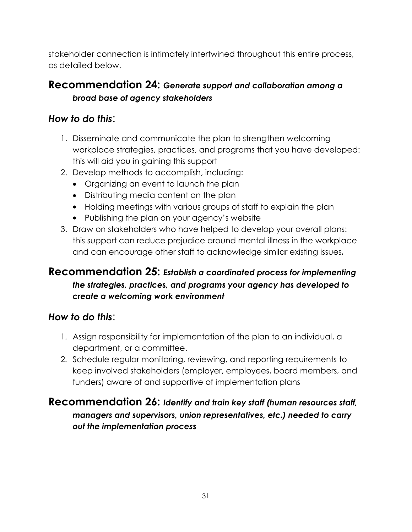stakeholder connection is intimately intertwined throughout this entire process, as detailed below.

#### **Recommendation 24:** *Generate support and collaboration among a broad base of agency stakeholders*

#### *How to do this*:

- 1. Disseminate and communicate the plan to strengthen welcoming workplace strategies, practices, and programs that you have developed: this will aid you in gaining this support
- 2. Develop methods to accomplish, including:
	- Organizing an event to launch the plan
	- Distributing media content on the plan
	- Holding meetings with various groups of staff to explain the plan
	- Publishing the plan on your agency's website
- 3. Draw on stakeholders who have helped to develop your overall plans: this support can reduce prejudice around mental illness in the workplace and can encourage other staff to acknowledge similar existing issues*.*

#### **Recommendation 25:** *Establish a coordinated process for implementing the strategies, practices, and programs your agency has developed to create a welcoming work environment*

#### *How to do this*:

- 1. Assign responsibility for implementation of the plan to an individual, a department, or a committee.
- 2. Schedule regular monitoring, reviewing, and reporting requirements to keep involved stakeholders (employer, employees, board members, and funders) aware of and supportive of implementation plans

#### **Recommendation 26:** *Identify and train key staff (human resources staff, managers and supervisors, union representatives, etc.) needed to carry out the implementation process*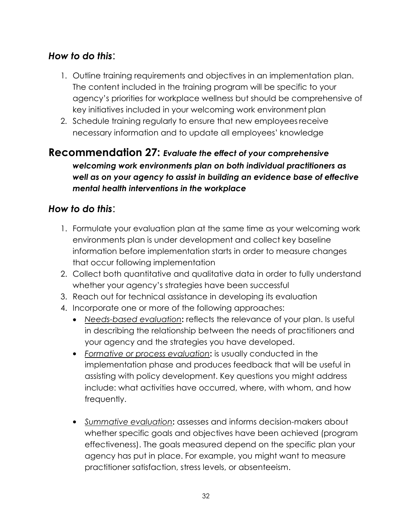#### *How to do this*:

- 1. Outline training requirements and objectives in an implementation plan. The content included in the training program will be specific to your agency's priorities for workplace wellness but should be comprehensive of key initiatives included in your welcoming work environment plan
- 2. Schedule training regularly to ensure that new employees receive necessary information and to update all employees' knowledge

#### **Recommendation 27:** *Evaluate the effect of your comprehensive welcoming work environments plan on both individual practitioners as well as on your agency to assist in building an evidence base of effective mental health interventions in the workplace*

#### *How to do this*:

- 1. Formulate your evaluation plan at the same time as your welcoming work environments plan is under development and collect key baseline information before implementation starts in order to measure changes that occur following implementation
- 2. Collect both quantitative and qualitative data in order to fully understand whether your agency's strategies have been successful
- 3. Reach out for technical assistance in developing its evaluation
- 4. Incorporate one or more of the following approaches:
	- *Needs-based evaluation***:** reflects the relevance of your plan. Is useful in describing the relationship between the needs of practitioners and your agency and the strategies you have developed.
	- *Formative or process evaluation***:** is usually conducted in the implementation phase and produces feedback that will be useful in assisting with policy development. Key questions you might address include: what activities have occurred, where, with whom, and how frequently.
	- *Summative evaluation***:** assesses and informs decision-makers about whether specific goals and objectives have been achieved (program effectiveness). The goals measured depend on the specific plan your agency has put in place. For example, you might want to measure practitioner satisfaction, stress levels, or absenteeism.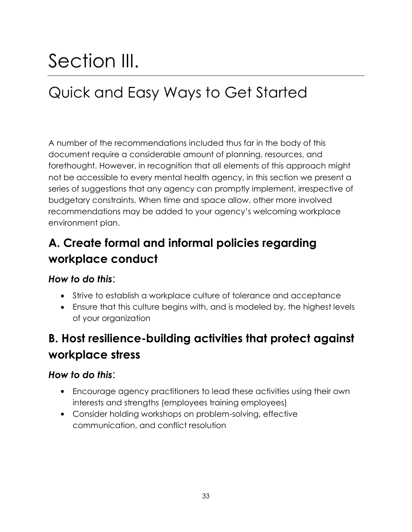# Section III.

## Quick and Easy Ways to Get Started

A number of the recommendations included thus far in the body of this document require a considerable amount of planning, resources, and forethought. However, in recognition that all elements of this approach might not be accessible to every mental health agency, in this section we present a series of suggestions that any agency can promptly implement, irrespective of budgetary constraints. When time and space allow, other more involved recommendations may be added to your agency's welcoming workplace environment plan.

## **A. Create formal and informal policies regarding workplace conduct**

#### *How to do this*:

- Strive to establish a workplace culture of tolerance and acceptance
- Ensure that this culture begins with, and is modeled by, the highest levels of your organization

### **B. Host resilience-building activities that protect against workplace stress**

#### *How to do this*:

- Encourage agency practitioners to lead these activities using their own interests and strengths (employees training employees)
- Consider holding workshops on problem-solving, effective communication, and conflict resolution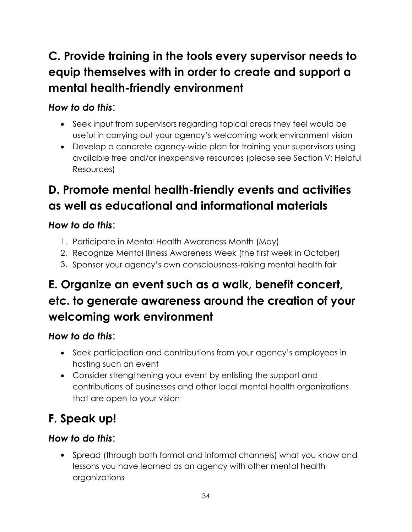## **C. Provide training in the tools every supervisor needs to equip themselves with in order to create and support a mental health-friendly environment**

#### *How to do this*:

- Seek input from supervisors regarding topical areas they feel would be useful in carrying out your agency's welcoming work environment vision
- Develop a concrete agency-wide plan for training your supervisors using available free and/or inexpensive resources (please see Section V: Helpful Resources)

## **D. Promote mental health-friendly events and activities as well as educational and informational materials**

#### *How to do this*:

- 1. Participate in Mental Health Awareness Month (May)
- 2. Recognize Mental Illness Awareness Week (the first week in October)
- 3. Sponsor your agency's own consciousness-raising mental health fair

## **E. Organize an event such as a walk, benefit concert, etc. to generate awareness around the creation of your welcoming work environment**

### *How to do this*:

- Seek participation and contributions from your agency's employees in hosting such an event
- Consider strengthening your event by enlisting the support and contributions of businesses and other local mental health organizations that are open to your vision

## **F. Speak up!**

### *How to do this*:

 Spread (through both formal and informal channels) what you know and lessons you have learned as an agency with other mental health organizations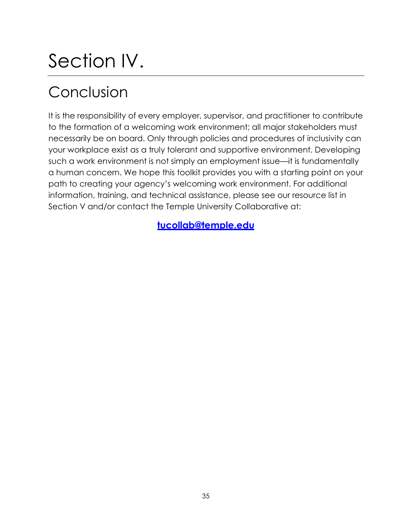## Section IV.

## Conclusion

It is the responsibility of every employer, supervisor, and practitioner to contribute to the formation of a welcoming work environment; all major stakeholders must necessarily be on board. Only through policies and procedures of inclusivity can your workplace exist as a truly tolerant and supportive environment. Developing such a work environment is not simply an employment issue—it is fundamentally a human concern. We hope this toolkit provides you with a starting point on your path to creating your agency's welcoming work environment. For additional information, training, and technical assistance, please see our resource list in Section V and/or contact the Temple University Collaborative at:

**[tucollab@temple.edu](mailto:tucollab@temple.edu)**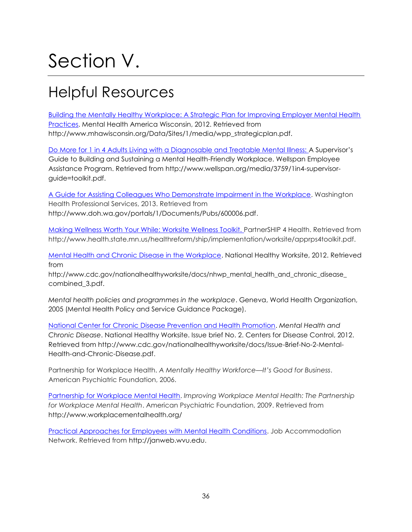# Section V.

## Helpful Resources

[Building the Mentally Healthy Workplace: A Strategic Plan for Improving Employer Mental Health](http://www.mhawisconsin.org/Data/Sites/1/media/wpp_strategicplan.pdf) [Practices.](http://www.mhawisconsin.org/Data/Sites/1/media/wpp_strategicplan.pdf) Mental Health America Wisconsin, 2012. Retrieved from [http://www.mhawisconsin.org/Data/Sites/1/media/wpp\\_strategicplan.pdf.](http://www.mhawisconsin.org/Data/Sites/1/media/wpp_strategicplan.pdf)

Do More for 1 [in 4 Adults Living with a Diagnosable and Treatable Mental Illness:](http://www.wellspan.org/media/3759/1in4-supervisor-guide%3Dtoolkit.pdf) A Supervisor's Guide to Building and Sustaining a Mental Health-Friendly Workplace. Wellspan Employee Assistance Program. Retrieved from [http://www.wellspan.org/media/3759/1in4-supervisor](http://www.wellspan.org/media/3759/1in4-supervisor-)guide=toolkit.pdf.

[A Guide for Assisting Colleagues Who Demonstrate Impairment in the Workplace.](http://www.doh.wa.gov/portals/1/Documents/Pubs/600006.pdf) Washington Health Professional Services, 2013. Retrieved from [http://www.doh.wa.gov/portals/1/Documents/Pubs/600006.pdf.](http://www.doh.wa.gov/portals/1/Documents/Pubs/600006.pdf)

[Making Wellness Worth Your While: Worksite Wellness Toolkit. P](http://www.health.state.mn.us/healthreform/ship/implementation/worksite/apprps4toolkit.pdf)artnerSHIP 4 Health. Retrieved from [http://www.health.state.mn.us/healthreform/ship/implementation/worksite/apprps4toolkit.pdf.](http://www.health.state.mn.us/healthreform/ship/implementation/worksite/apprps4toolkit.pdf)

[Mental Health and Chronic Disease in the Workplace.](http://www.cdc.gov/nationalhealthyworksite/docs/nhwp_mental_health_and_chronic_disease_combined_3.pdf) National Healthy Worksite, 2012. Retrieved from

http://www.cdc.gov/nationalhealthyworksite/docs/nhwp\_mental\_health\_and\_chronic\_disease combined\_3.pdf.

*Mental health policies and programmes in the workplace*. Geneva, World Health Organization, 2005 (Mental Health Policy and Service Guidance Package).

[National Center for Chronic Disease Prevention and Health Promotion.](http://www.cdc.gov/nationalhealthyworksite/docs/Issue-Brief-No-2-Mental-Health-and-Chronic-Disease.pdf) *Mental Health and Chronic Disease*. National Healthy Worksite. Issue brief No. 2. Centers for Disease Control, 2012. Retrieved from<http://www.cdc.gov/nationalhealthyworksite/docs/Issue-Brief-No-2-Mental->Health-and-Chronic-Disease.pdf.

Partnership for Workplace Health. *A Mentally Healthy Workforce—It's Good for Business*. American Psychiatric Foundation, 2006.

[Partnership for Workplace Mental Health.](http://www.workplacementalhealth.org/) *Improving Workplace Mental Health: The Partnership for Workplace Mental Health*. American Psychiatric Foundation, 2009. Retrieved from <http://www.workplacementalhealth.org/>

[Practical Approaches for Employees with Mental Health Conditions.](http://janweb.wvu.edu/) Job Accommodation Network. Retrieved from [http://janweb.wvu.edu.](http://janweb.wvu.edu/)